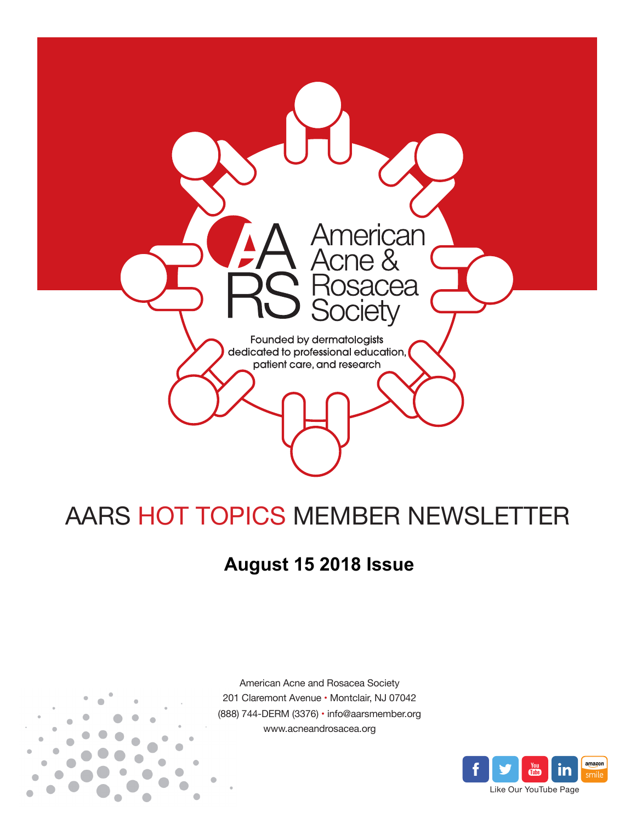

# AARS HOT TOPICS MEMBER NEWSLETTER

## **August 15 2018 Issue**



American Acne and Rosacea Society 201 Claremont Avenue • Montclair, NJ 07042 (888) 744-DERM (3376) • info@aarsmember.org www.acneandrosacea.org

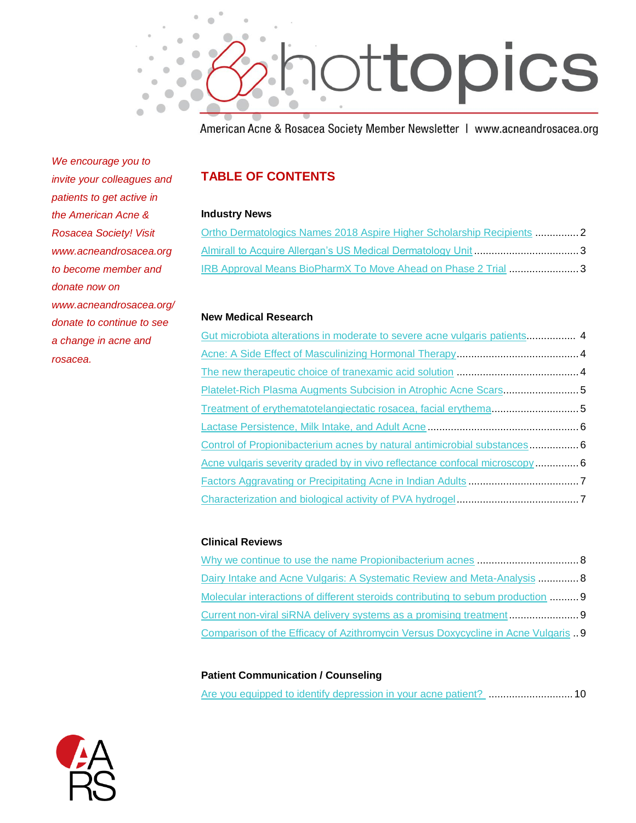

American Acne & Rosacea Society Member Newsletter | www.acneandrosacea.org

*We encourage you to invite your colleagues and patients to get active in the American Acne & Rosacea Society! Visit www.acneandrosacea.org to become member and donate now on www.acneandrosacea.org/ donate to continue to see a change in acne and rosacea.*

### **TABLE OF CONTENTS**

#### **Industry News**

| Ortho Dermatologics Names 2018 Aspire Higher Scholarship Recipients 2 |  |
|-----------------------------------------------------------------------|--|
| Almirall to Acquire Allergan's US Medical Dermatology Unit 3          |  |
| IRB Approval Means BioPharmX To Move Ahead on Phase 2 Trial 3         |  |

#### **New Medical Research**

| Gut microbiota alterations in moderate to severe acne vulgaris patients 4  |  |
|----------------------------------------------------------------------------|--|
|                                                                            |  |
|                                                                            |  |
| Platelet-Rich Plasma Augments Subcision in Atrophic Acne Scars5            |  |
| Treatment of erythematotelangiectatic rosacea, facial erythema5            |  |
|                                                                            |  |
| Control of Propionibacterium acnes by natural antimicrobial substances 6   |  |
| Acne vulgaris severity graded by in vivo reflectance confocal microscopy 6 |  |
|                                                                            |  |
|                                                                            |  |

#### **Clinical Reviews**

| Dairy Intake and Acne Vulgaris: A Systematic Review and Meta-Analysis  8         |  |
|----------------------------------------------------------------------------------|--|
| Molecular interactions of different steroids contributing to sebum production  9 |  |
|                                                                                  |  |
| Comparison of the Efficacy of Azithromycin Versus Doxycycline in Acne Vulgaris 9 |  |

#### **Patient Communication / Counseling**

| Are you equipped to identify depression in your acne patient? 10 |  |  |  |  |  |
|------------------------------------------------------------------|--|--|--|--|--|
|------------------------------------------------------------------|--|--|--|--|--|

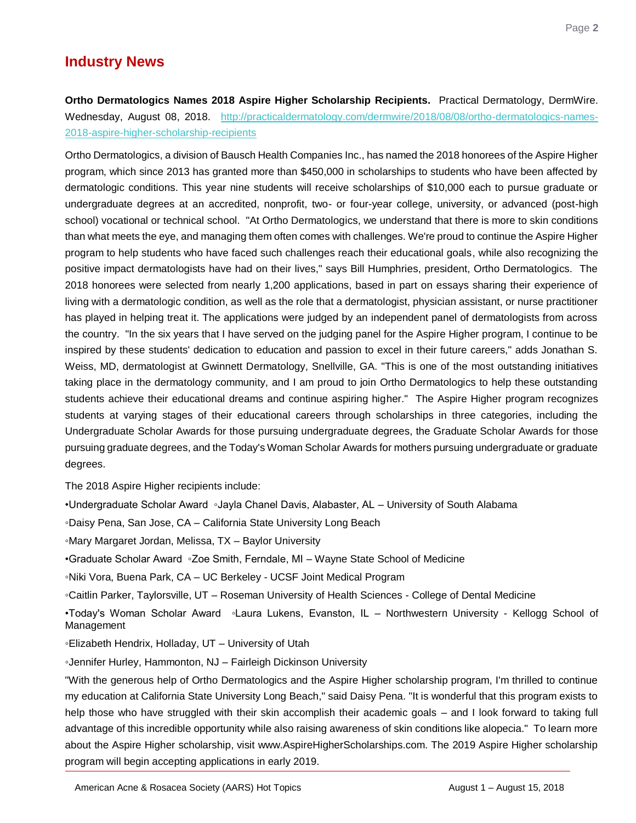## **Industry News**

### <span id="page-2-0"></span>**Ortho Dermatologics Names 2018 Aspire Higher Scholarship Recipients.** Practical Dermatology, DermWire. Wednesday, August 08, 2018. [http://practicaldermatology.com/dermwire/2018/08/08/ortho-dermatologics-names-](http://practicaldermatology.com/dermwire/2018/08/08/ortho-dermatologics-names-2018-aspire-higher-scholarship-recipients)[2018-aspire-higher-scholarship-recipients](http://practicaldermatology.com/dermwire/2018/08/08/ortho-dermatologics-names-2018-aspire-higher-scholarship-recipients)

Ortho Dermatologics, a division of Bausch Health Companies Inc., has named the 2018 honorees of the Aspire Higher program, which since 2013 has granted more than \$450,000 in scholarships to students who have been affected by dermatologic conditions. This year nine students will receive scholarships of \$10,000 each to pursue graduate or undergraduate degrees at an accredited, nonprofit, two- or four-year college, university, or advanced (post-high school) vocational or technical school. "At Ortho Dermatologics, we understand that there is more to skin conditions than what meets the eye, and managing them often comes with challenges. We're proud to continue the Aspire Higher program to help students who have faced such challenges reach their educational goals, while also recognizing the positive impact dermatologists have had on their lives," says Bill Humphries, president, Ortho Dermatologics. The 2018 honorees were selected from nearly 1,200 applications, based in part on essays sharing their experience of living with a dermatologic condition, as well as the role that a dermatologist, physician assistant, or nurse practitioner has played in helping treat it. The applications were judged by an independent panel of dermatologists from across the country. "In the six years that I have served on the judging panel for the Aspire Higher program, I continue to be inspired by these students' dedication to education and passion to excel in their future careers," adds Jonathan S. Weiss, MD, dermatologist at Gwinnett Dermatology, Snellville, GA. "This is one of the most outstanding initiatives taking place in the dermatology community, and I am proud to join Ortho Dermatologics to help these outstanding students achieve their educational dreams and continue aspiring higher." The Aspire Higher program recognizes students at varying stages of their educational careers through scholarships in three categories, including the Undergraduate Scholar Awards for those pursuing undergraduate degrees, the Graduate Scholar Awards for those pursuing graduate degrees, and the Today's Woman Scholar Awards for mothers pursuing undergraduate or graduate degrees.

The 2018 Aspire Higher recipients include:

•Undergraduate Scholar Award ◦Jayla Chanel Davis, Alabaster, AL – University of South Alabama

◦Daisy Pena, San Jose, CA – California State University Long Beach

◦Mary Margaret Jordan, Melissa, TX – Baylor University

•Graduate Scholar Award ◦Zoe Smith, Ferndale, MI – Wayne State School of Medicine

◦Niki Vora, Buena Park, CA – UC Berkeley - UCSF Joint Medical Program

◦Caitlin Parker, Taylorsville, UT – Roseman University of Health Sciences - College of Dental Medicine

•Today's Woman Scholar Award ◦Laura Lukens, Evanston, IL – Northwestern University - Kellogg School of Management

◦Elizabeth Hendrix, Holladay, UT – University of Utah

◦Jennifer Hurley, Hammonton, NJ – Fairleigh Dickinson University

"With the generous help of Ortho Dermatologics and the Aspire Higher scholarship program, I'm thrilled to continue my education at California State University Long Beach," said Daisy Pena. "It is wonderful that this program exists to help those who have struggled with their skin accomplish their academic goals – and I look forward to taking full advantage of this incredible opportunity while also raising awareness of skin conditions like alopecia." To learn more about the Aspire Higher scholarship, visit www.AspireHigherScholarships.com. The 2019 Aspire Higher scholarship program will begin accepting applications in early 2019.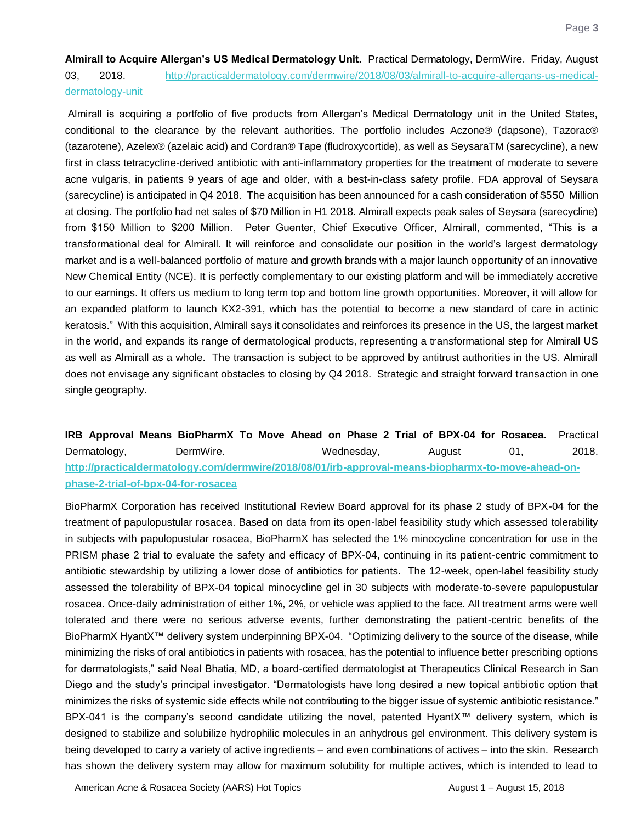<span id="page-3-0"></span>**Almirall to Acquire Allergan's US Medical Dermatology Unit.** Practical Dermatology, DermWire. Friday, August 03, 2018. [http://practicaldermatology.com/dermwire/2018/08/03/almirall-to-acquire-allergans-us-medical](http://practicaldermatology.com/dermwire/2018/08/03/almirall-to-acquire-allergans-us-medical-dermatology-unit)[dermatology-unit](http://practicaldermatology.com/dermwire/2018/08/03/almirall-to-acquire-allergans-us-medical-dermatology-unit) 

Almirall is acquiring a portfolio of five products from Allergan's Medical Dermatology unit in the United States, conditional to the clearance by the relevant authorities. The portfolio includes Aczone® (dapsone), Tazorac® (tazarotene), Azelex® (azelaic acid) and Cordran® Tape (fludroxycortide), as well as SeysaraTM (sarecycline), a new first in class tetracycline-derived antibiotic with anti-inflammatory properties for the treatment of moderate to severe acne vulgaris, in patients 9 years of age and older, with a best-in-class safety profile. FDA approval of Seysara (sarecycline) is anticipated in Q4 2018. The acquisition has been announced for a cash consideration of \$550 Million at closing. The portfolio had net sales of \$70 Million in H1 2018. Almirall expects peak sales of Seysara (sarecycline) from \$150 Million to \$200 Million. Peter Guenter, Chief Executive Officer, Almirall, commented, "This is a transformational deal for Almirall. It will reinforce and consolidate our position in the world's largest dermatology market and is a well-balanced portfolio of mature and growth brands with a major launch opportunity of an innovative New Chemical Entity (NCE). It is perfectly complementary to our existing platform and will be immediately accretive to our earnings. It offers us medium to long term top and bottom line growth opportunities. Moreover, it will allow for an expanded platform to launch KX2-391, which has the potential to become a new standard of care in actinic keratosis." With this acquisition, Almirall says it consolidates and reinforces its presence in the US, the largest market in the world, and expands its range of dermatological products, representing a transformational step for Almirall US as well as Almirall as a whole. The transaction is subject to be approved by antitrust authorities in the US. Almirall does not envisage any significant obstacles to closing by Q4 2018. Strategic and straight forward transaction in one single geography.

<span id="page-3-1"></span>**IRB Approval Means BioPharmX To Move Ahead on Phase 2 Trial of BPX-04 for Rosacea.** Practical Dermatology, DermWire. Wednesday, August 01, 2018. **[http://practicaldermatology.com/dermwire/2018/08/01/irb-approval-means-biopharmx-to-move-ahead-on](http://practicaldermatology.com/dermwire/2018/08/01/irb-approval-means-biopharmx-to-move-ahead-on-phase-2-trial-of-bpx-04-for-rosacea)[phase-2-trial-of-bpx-04-for-rosacea](http://practicaldermatology.com/dermwire/2018/08/01/irb-approval-means-biopharmx-to-move-ahead-on-phase-2-trial-of-bpx-04-for-rosacea)** 

BioPharmX Corporation has received Institutional Review Board approval for its phase 2 study of BPX-04 for the treatment of papulopustular rosacea. Based on data from its open-label feasibility study which assessed tolerability in subjects with papulopustular rosacea, BioPharmX has selected the 1% minocycline concentration for use in the PRISM phase 2 trial to evaluate the safety and efficacy of BPX-04, continuing in its patient-centric commitment to antibiotic stewardship by utilizing a lower dose of antibiotics for patients. The 12-week, open-label feasibility study assessed the tolerability of BPX-04 topical minocycline gel in 30 subjects with moderate-to-severe papulopustular rosacea. Once-daily administration of either 1%, 2%, or vehicle was applied to the face. All treatment arms were well tolerated and there were no serious adverse events, further demonstrating the patient-centric benefits of the BioPharmX HyantX™ delivery system underpinning BPX-04. "Optimizing delivery to the source of the disease, while minimizing the risks of oral antibiotics in patients with rosacea, has the potential to influence better prescribing options for dermatologists," said Neal Bhatia, MD, a board-certified dermatologist at Therapeutics Clinical Research in San Diego and the study's principal investigator. "Dermatologists have long desired a new topical antibiotic option that minimizes the risks of systemic side effects while not contributing to the bigger issue of systemic antibiotic resistance." BPX-041 is the company's second candidate utilizing the novel, patented HyantX™ delivery system, which is designed to stabilize and solubilize hydrophilic molecules in an anhydrous gel environment. This delivery system is being developed to carry a variety of active ingredients – and even combinations of actives – into the skin. Research has shown the delivery system may allow for maximum solubility for multiple actives, which is intended to lead to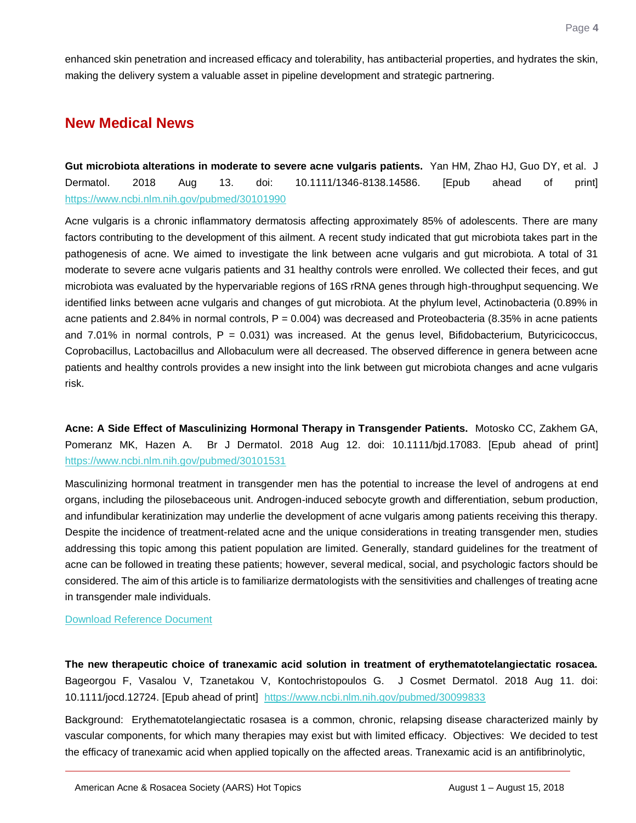enhanced skin penetration and increased efficacy and tolerability, has antibacterial properties, and hydrates the skin, making the delivery system a valuable asset in pipeline development and strategic partnering.

## **New Medical News**

<span id="page-4-0"></span>**Gut microbiota alterations in moderate to severe acne vulgaris patients.** Yan HM, Zhao HJ, Guo DY, et al. J Dermatol. 2018 Aug 13. doi: 10.1111/1346-8138.14586. [Epub ahead of print] <https://www.ncbi.nlm.nih.gov/pubmed/30101990>

Acne vulgaris is a chronic inflammatory dermatosis affecting approximately 85% of adolescents. There are many factors contributing to the development of this ailment. A recent study indicated that gut microbiota takes part in the pathogenesis of acne. We aimed to investigate the link between acne vulgaris and gut microbiota. A total of 31 moderate to severe acne vulgaris patients and 31 healthy controls were enrolled. We collected their feces, and gut microbiota was evaluated by the hypervariable regions of 16S rRNA genes through high-throughput sequencing. We identified links between acne vulgaris and changes of gut microbiota. At the phylum level, Actinobacteria (0.89% in acne patients and 2.84% in normal controls,  $P = 0.004$ ) was decreased and Proteobacteria (8.35% in acne patients and  $7.01\%$  in normal controls,  $P = 0.031$ ) was increased. At the genus level, Bifidobacterium, Butyricicoccus, Coprobacillus, Lactobacillus and Allobaculum were all decreased. The observed difference in genera between acne patients and healthy controls provides a new insight into the link between gut microbiota changes and acne vulgaris risk.

<span id="page-4-1"></span>**Acne: A Side Effect of Masculinizing Hormonal Therapy in Transgender Patients.** Motosko CC, Zakhem GA, Pomeranz MK, Hazen A. Br J Dermatol. 2018 Aug 12. doi: 10.1111/bjd.17083. [Epub ahead of print] <https://www.ncbi.nlm.nih.gov/pubmed/30101531>

Masculinizing hormonal treatment in transgender men has the potential to increase the level of androgens at end organs, including the pilosebaceous unit. Androgen-induced sebocyte growth and differentiation, sebum production, and infundibular keratinization may underlie the development of acne vulgaris among patients receiving this therapy. Despite the incidence of treatment-related acne and the unique considerations in treating transgender men, studies addressing this topic among this patient population are limited. Generally, standard guidelines for the treatment of acne can be followed in treating these patients; however, several medical, social, and psychologic factors should be considered. The aim of this article is to familiarize dermatologists with the sensitivities and challenges of treating acne in transgender male individuals.

[Download Reference Document](http://files.constantcontact.com/c2fa20d1101/6de3bbc0-1278-4504-a6dd-0569239ea36a.pdf)

<span id="page-4-2"></span>**The new therapeutic choice of tranexamic acid solution in treatment of erythematotelangiectatic rosacea.** Bageorgou F, Vasalou V, Tzanetakou V, Kontochristopoulos G. J Cosmet Dermatol. 2018 Aug 11. doi: 10.1111/jocd.12724. [Epub ahead of print] <https://www.ncbi.nlm.nih.gov/pubmed/30099833>

Background: Erythematotelangiectatic rosasea is a common, chronic, relapsing disease characterized mainly by vascular components, for which many therapies may exist but with limited efficacy. Objectives: We decided to test the efficacy of tranexamic acid when applied topically on the affected areas. Tranexamic acid is an antifibrinolytic,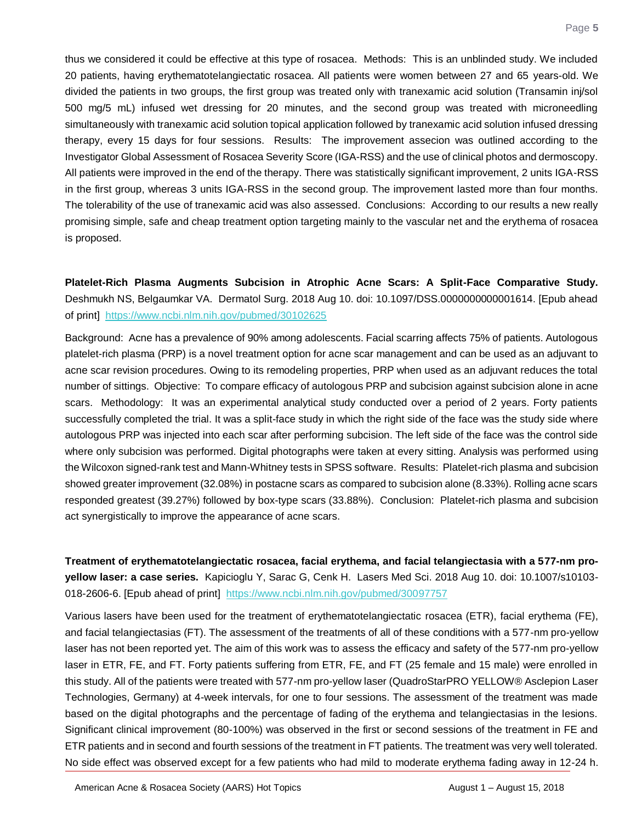thus we considered it could be effective at this type of rosacea. Methods: This is an unblinded study. We included 20 patients, having erythematotelangiectatic rosacea. All patients were women between 27 and 65 years-old. We divided the patients in two groups, the first group was treated only with tranexamic acid solution (Transamin inj/sol 500 mg/5 mL) infused wet dressing for 20 minutes, and the second group was treated with microneedling simultaneously with tranexamic acid solution topical application followed by tranexamic acid solution infused dressing therapy, every 15 days for four sessions. Results: The improvement assecion was outlined according to the Investigator Global Assessment of Rosacea Severity Score (IGA-RSS) and the use of clinical photos and dermoscopy. All patients were improved in the end of the therapy. There was statistically significant improvement, 2 units IGA-RSS in the first group, whereas 3 units IGA-RSS in the second group. The improvement lasted more than four months. The tolerability of the use of tranexamic acid was also assessed. Conclusions: According to our results a new really promising simple, safe and cheap treatment option targeting mainly to the vascular net and the erythema of rosacea is proposed.

<span id="page-5-0"></span>**Platelet-Rich Plasma Augments Subcision in Atrophic Acne Scars: A Split-Face Comparative Study.** Deshmukh NS, Belgaumkar VA. Dermatol Surg. 2018 Aug 10. doi: 10.1097/DSS.0000000000001614. [Epub ahead of print] <https://www.ncbi.nlm.nih.gov/pubmed/30102625>

Background: Acne has a prevalence of 90% among adolescents. Facial scarring affects 75% of patients. Autologous platelet-rich plasma (PRP) is a novel treatment option for acne scar management and can be used as an adjuvant to acne scar revision procedures. Owing to its remodeling properties, PRP when used as an adjuvant reduces the total number of sittings. Objective: To compare efficacy of autologous PRP and subcision against subcision alone in acne scars. Methodology: It was an experimental analytical study conducted over a period of 2 years. Forty patients successfully completed the trial. It was a split-face study in which the right side of the face was the study side where autologous PRP was injected into each scar after performing subcision. The left side of the face was the control side where only subcision was performed. Digital photographs were taken at every sitting. Analysis was performed using the Wilcoxon signed-rank test and Mann-Whitney tests in SPSS software. Results: Platelet-rich plasma and subcision showed greater improvement (32.08%) in postacne scars as compared to subcision alone (8.33%). Rolling acne scars responded greatest (39.27%) followed by box-type scars (33.88%). Conclusion: Platelet-rich plasma and subcision act synergistically to improve the appearance of acne scars.

<span id="page-5-1"></span>**Treatment of erythematotelangiectatic rosacea, facial erythema, and facial telangiectasia with a 577-nm proyellow laser: a case series.** Kapicioglu Y, Sarac G, Cenk H. Lasers Med Sci. 2018 Aug 10. doi: 10.1007/s10103- 018-2606-6. [Epub ahead of print] https://www.ncbi.nlm.nih.gov/pubmed/30097757

Various lasers have been used for the treatment of erythematotelangiectatic rosacea (ETR), facial erythema (FE), and facial telangiectasias (FT). The assessment of the treatments of all of these conditions with a 577-nm pro-yellow laser has not been reported yet. The aim of this work was to assess the efficacy and safety of the 577-nm pro-yellow laser in ETR, FE, and FT. Forty patients suffering from ETR, FE, and FT (25 female and 15 male) were enrolled in this study. All of the patients were treated with 577-nm pro-yellow laser (QuadroStarPRO YELLOW® Asclepion Laser Technologies, Germany) at 4-week intervals, for one to four sessions. The assessment of the treatment was made based on the digital photographs and the percentage of fading of the erythema and telangiectasias in the lesions. Significant clinical improvement (80-100%) was observed in the first or second sessions of the treatment in FE and ETR patients and in second and fourth sessions of the treatment in FT patients. The treatment was very well tolerated. No side effect was observed except for a few patients who had mild to moderate erythema fading away in 12-24 h.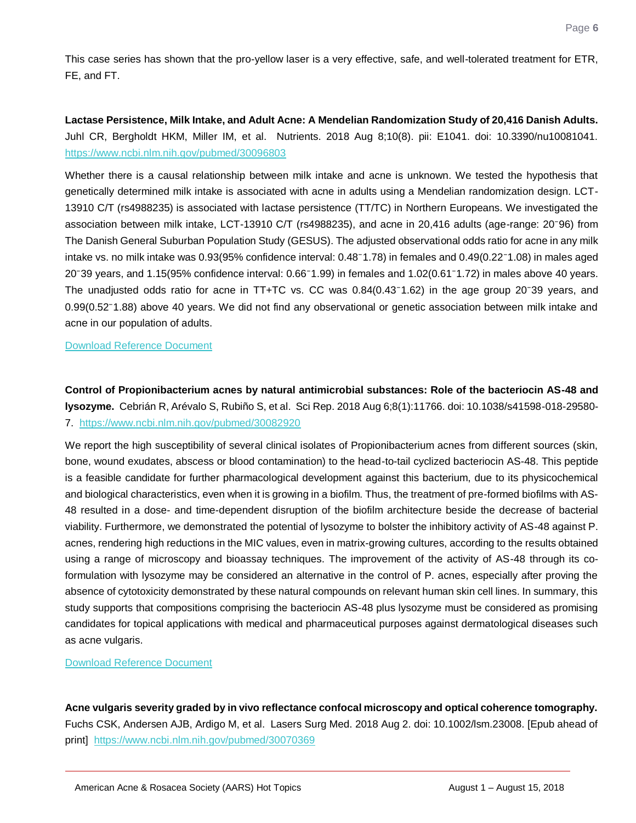This case series has shown that the pro-yellow laser is a very effective, safe, and well-tolerated treatment for ETR, FE, and FT.

<span id="page-6-0"></span>**Lactase Persistence, Milk Intake, and Adult Acne: A Mendelian Randomization Study of 20,416 Danish Adults.** Juhl CR, Bergholdt HKM, Miller IM, et al. Nutrients. 2018 Aug 8;10(8). pii: E1041. doi: 10.3390/nu10081041. <https://www.ncbi.nlm.nih.gov/pubmed/30096803>

Whether there is a causal relationship between milk intake and acne is unknown. We tested the hypothesis that genetically determined milk intake is associated with acne in adults using a Mendelian randomization design. LCT-13910 C/T (rs4988235) is associated with lactase persistence (TT/TC) in Northern Europeans. We investigated the association between milk intake, LCT-13910 C/T (rs4988235), and acne in 20,416 adults (age-range: 20<sup>-</sup>96) from The Danish General Suburban Population Study (GESUS). The adjusted observational odds ratio for acne in any milk intake vs. no milk intake was 0.93(95% confidence interval: 0.48<sup>-</sup>1.78) in females and 0.49(0.22<sup>-</sup>1.08) in males aged  $20$ <sup>-39</sup> years, and 1.15(95% confidence interval:  $0.66$ <sup>-1</sup>.99) in females and 1.02(0.61<sup>-</sup>1.72) in males above 40 years. The unadjusted odds ratio for acne in TT+TC vs. CC was  $0.84(0.43<sup>-1.62</sup>)$  in the age group 20 $<sup>-39</sup>$  years, and</sup> 0.99(0.52<sup>-</sup>1.88) above 40 years. We did not find any observational or genetic association between milk intake and acne in our population of adults.

[Download Reference Document](http://files.constantcontact.com/c2fa20d1101/7c8987ee-64ad-44b5-aa0e-456805203395.pdf)

<span id="page-6-1"></span>**Control of Propionibacterium acnes by natural antimicrobial substances: Role of the bacteriocin AS-48 and lysozyme.** Cebrián R, Arévalo S, Rubiño S, et al. Sci Rep. 2018 Aug 6;8(1):11766. doi: 10.1038/s41598-018-29580- 7. <https://www.ncbi.nlm.nih.gov/pubmed/30082920>

We report the high susceptibility of several clinical isolates of Propionibacterium acnes from different sources (skin, bone, wound exudates, abscess or blood contamination) to the head-to-tail cyclized bacteriocin AS-48. This peptide is a feasible candidate for further pharmacological development against this bacterium, due to its physicochemical and biological characteristics, even when it is growing in a biofilm. Thus, the treatment of pre-formed biofilms with AS-48 resulted in a dose- and time-dependent disruption of the biofilm architecture beside the decrease of bacterial viability. Furthermore, we demonstrated the potential of lysozyme to bolster the inhibitory activity of AS-48 against P. acnes, rendering high reductions in the MIC values, even in matrix-growing cultures, according to the results obtained using a range of microscopy and bioassay techniques. The improvement of the activity of AS-48 through its coformulation with lysozyme may be considered an alternative in the control of P. acnes, especially after proving the absence of cytotoxicity demonstrated by these natural compounds on relevant human skin cell lines. In summary, this study supports that compositions comprising the bacteriocin AS-48 plus lysozyme must be considered as promising candidates for topical applications with medical and pharmaceutical purposes against dermatological diseases such as acne vulgaris.

[Download Reference Document](http://files.constantcontact.com/c2fa20d1101/bbde6353-d033-4724-91f2-4cb35a05ec91.pdf)

<span id="page-6-2"></span>**Acne vulgaris severity graded by in vivo reflectance confocal microscopy and optical coherence tomography.**  Fuchs CSK, Andersen AJB, Ardigo M, et al. Lasers Surg Med. 2018 Aug 2. doi: 10.1002/lsm.23008. [Epub ahead of print] <https://www.ncbi.nlm.nih.gov/pubmed/30070369>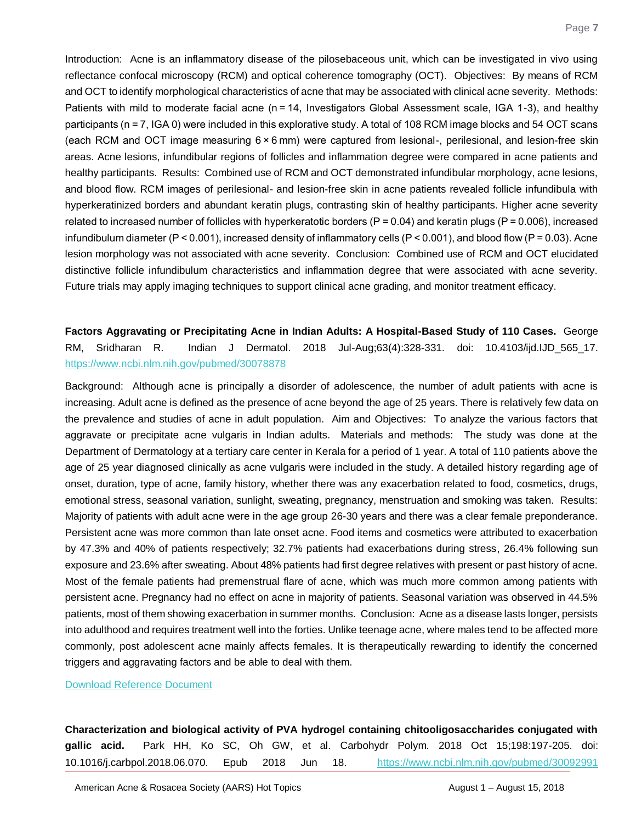Introduction: Acne is an inflammatory disease of the pilosebaceous unit, which can be investigated in vivo using reflectance confocal microscopy (RCM) and optical coherence tomography (OCT). Objectives: By means of RCM and OCT to identify morphological characteristics of acne that may be associated with clinical acne severity. Methods: Patients with mild to moderate facial acne (n = 14, Investigators Global Assessment scale, IGA 1-3), and healthy participants (n = 7, IGA 0) were included in this explorative study. A total of 108 RCM image blocks and 54 OCT scans (each RCM and OCT image measuring 6 × 6 mm) were captured from lesional-, perilesional, and lesion-free skin areas. Acne lesions, infundibular regions of follicles and inflammation degree were compared in acne patients and healthy participants. Results: Combined use of RCM and OCT demonstrated infundibular morphology, acne lesions, and blood flow. RCM images of perilesional- and lesion-free skin in acne patients revealed follicle infundibula with hyperkeratinized borders and abundant keratin plugs, contrasting skin of healthy participants. Higher acne severity related to increased number of follicles with hyperkeratotic borders ( $P = 0.04$ ) and keratin plugs ( $P = 0.006$ ), increased infundibulum diameter ( $P < 0.001$ ), increased density of inflammatory cells ( $P < 0.001$ ), and blood flow ( $P = 0.03$ ). Acne lesion morphology was not associated with acne severity. Conclusion: Combined use of RCM and OCT elucidated distinctive follicle infundibulum characteristics and inflammation degree that were associated with acne severity. Future trials may apply imaging techniques to support clinical acne grading, and monitor treatment efficacy.

<span id="page-7-0"></span>**Factors Aggravating or Precipitating Acne in Indian Adults: A Hospital-Based Study of 110 Cases.** George RM, Sridharan R. Indian J Dermatol. 2018 Jul-Aug;63(4):328-331. doi: 10.4103/ijd.IJD\_565\_17. <https://www.ncbi.nlm.nih.gov/pubmed/30078878>

Background: Although acne is principally a disorder of adolescence, the number of adult patients with acne is increasing. Adult acne is defined as the presence of acne beyond the age of 25 years. There is relatively few data on the prevalence and studies of acne in adult population. Aim and Objectives: To analyze the various factors that aggravate or precipitate acne vulgaris in Indian adults. Materials and methods: The study was done at the Department of Dermatology at a tertiary care center in Kerala for a period of 1 year. A total of 110 patients above the age of 25 year diagnosed clinically as acne vulgaris were included in the study. A detailed history regarding age of onset, duration, type of acne, family history, whether there was any exacerbation related to food, cosmetics, drugs, emotional stress, seasonal variation, sunlight, sweating, pregnancy, menstruation and smoking was taken. Results: Majority of patients with adult acne were in the age group 26-30 years and there was a clear female preponderance. Persistent acne was more common than late onset acne. Food items and cosmetics were attributed to exacerbation by 47.3% and 40% of patients respectively; 32.7% patients had exacerbations during stress, 26.4% following sun exposure and 23.6% after sweating. About 48% patients had first degree relatives with present or past history of acne. Most of the female patients had premenstrual flare of acne, which was much more common among patients with persistent acne. Pregnancy had no effect on acne in majority of patients. Seasonal variation was observed in 44.5% patients, most of them showing exacerbation in summer months. Conclusion: Acne as a disease lasts longer, persists into adulthood and requires treatment well into the forties. Unlike teenage acne, where males tend to be affected more commonly, post adolescent acne mainly affects females. It is therapeutically rewarding to identify the concerned triggers and aggravating factors and be able to deal with them.

[Download Reference Document](http://files.constantcontact.com/c2fa20d1101/2956432f-39ee-4842-b9af-82f89a35005e.pdf)

<span id="page-7-1"></span>**Characterization and biological activity of PVA hydrogel containing chitooligosaccharides conjugated with gallic acid.** Park HH, Ko SC, Oh GW, et al. Carbohydr Polym. 2018 Oct 15;198:197-205. doi: 10.1016/j.carbpol.2018.06.070. Epub 2018 Jun 18. <https://www.ncbi.nlm.nih.gov/pubmed/30092991>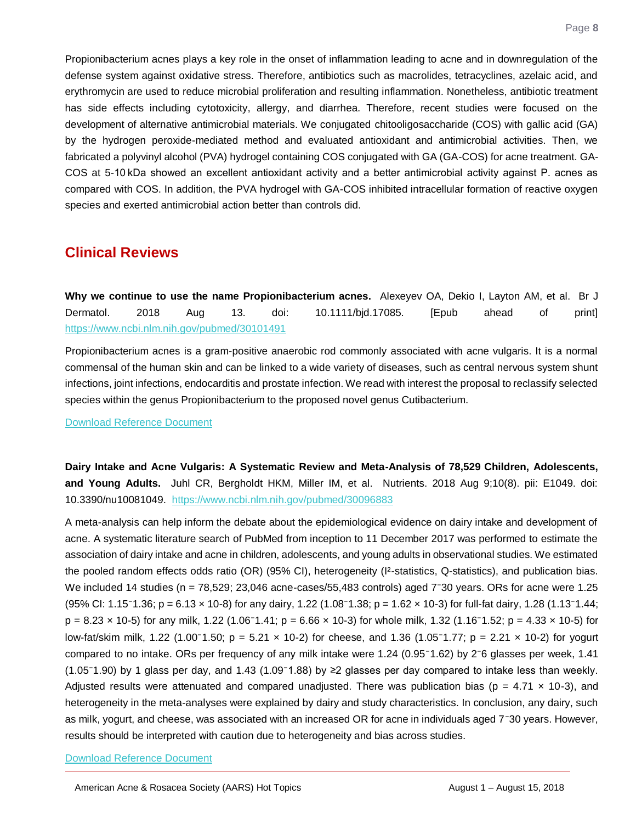Propionibacterium acnes plays a key role in the onset of inflammation leading to acne and in downregulation of the defense system against oxidative stress. Therefore, antibiotics such as macrolides, tetracyclines, azelaic acid, and erythromycin are used to reduce microbial proliferation and resulting inflammation. Nonetheless, antibiotic treatment has side effects including cytotoxicity, allergy, and diarrhea. Therefore, recent studies were focused on the development of alternative antimicrobial materials. We conjugated chitooligosaccharide (COS) with gallic acid (GA) by the hydrogen peroxide-mediated method and evaluated antioxidant and antimicrobial activities. Then, we fabricated a polyvinyl alcohol (PVA) hydrogel containing COS conjugated with GA (GA-COS) for acne treatment. GA-COS at 5-10 kDa showed an excellent antioxidant activity and a better antimicrobial activity against P. acnes as compared with COS. In addition, the PVA hydrogel with GA-COS inhibited intracellular formation of reactive oxygen species and exerted antimicrobial action better than controls did.

## **Clinical Reviews**

<span id="page-8-0"></span>**Why we continue to use the name Propionibacterium acnes.** Alexeyev OA, Dekio I, Layton AM, et al. Br J Dermatol. 2018 Aug 13. doi: 10.1111/bjd.17085. [Epub ahead of print] <https://www.ncbi.nlm.nih.gov/pubmed/30101491>

Propionibacterium acnes is a gram-positive anaerobic rod commonly associated with acne vulgaris. It is a normal commensal of the human skin and can be linked to a wide variety of diseases, such as central nervous system shunt infections, joint infections, endocarditis and prostate infection. We read with interest the proposal to reclassify selected species within the genus Propionibacterium to the proposed novel genus Cutibacterium.

#### [Download Reference Document](http://files.constantcontact.com/c2fa20d1101/ff1322b5-cb35-46b5-b0b2-53c4550a8296.pdf)

<span id="page-8-1"></span>**Dairy Intake and Acne Vulgaris: A Systematic Review and Meta-Analysis of 78,529 Children, Adolescents, and Young Adults.** Juhl CR, Bergholdt HKM, Miller IM, et al. Nutrients. 2018 Aug 9;10(8). pii: E1049. doi: 10.3390/nu10081049. <https://www.ncbi.nlm.nih.gov/pubmed/30096883>

A meta-analysis can help inform the debate about the epidemiological evidence on dairy intake and development of acne. A systematic literature search of PubMed from inception to 11 December 2017 was performed to estimate the association of dairy intake and acne in children, adolescents, and young adults in observational studies. We estimated the pooled random effects odds ratio (OR) (95% CI), heterogeneity (I²-statistics, Q-statistics), and publication bias. We included 14 studies (n = 78,529; 23,046 acne-cases/55,483 controls) aged 7<sup>-</sup>30 years. ORs for acne were 1.25  $(95\% \text{ Cl: } 1.15^-1.36; \text{ p} = 6.13 \times 10^{-8} \text{J}$  for any dairy, 1.22  $(1.08^-1.38; \text{ p} = 1.62 \times 10^{-3} \text{J}$  for full-fat dairy, 1.28  $(1.13^-1.44; \text{ m} = 1.12 \times 10^{-3} \text{J} \cdot \text{m} = 1.12 \times 10^{-3} \text{J} \cdot \text{m} = 1.12 \times 10^{-3} \text{J} \$  $p = 8.23 \times 10^{-5}$  for any milk, 1.22 (1.06 $^{-1}$ .41;  $p = 6.66 \times 10^{-3}$ ) for whole milk, 1.32 (1.16 $^{-1}$ .52;  $p = 4.33 \times 10^{-5}$ ) for low-fat/skim milk, 1.22 (1.00 $^{-1}$ .50; p = 5.21 x 10-2) for cheese, and 1.36 (1.05 $^{-1}$ .77; p = 2.21 x 10-2) for yogurt compared to no intake. ORs per frequency of any milk intake were 1.24 (0.95 $-1.62$ ) by 2 $-6$  glasses per week, 1.41 (1.05 $-1.90$ ) by 1 glass per day, and 1.43 (1.09 $-1.88$ ) by  $\geq$ 2 glasses per day compared to intake less than weekly. Adjusted results were attenuated and compared unadjusted. There was publication bias ( $p = 4.71 \times 10^{-3}$ ), and heterogeneity in the meta-analyses were explained by dairy and study characteristics. In conclusion, any dairy, such as milk, yogurt, and cheese, was associated with an increased OR for acne in individuals aged 7<sup>-</sup>30 years. However, results should be interpreted with caution due to heterogeneity and bias across studies.

#### [Download Reference Document](http://files.constantcontact.com/c2fa20d1101/2ec251af-4534-4947-ac2b-233e8b89daaf.pdf)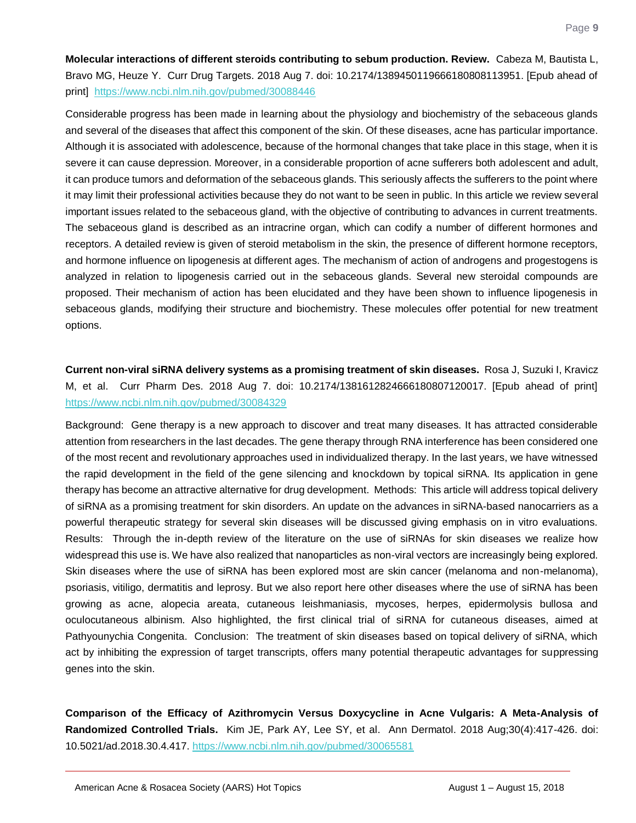<span id="page-9-0"></span>**Molecular interactions of different steroids contributing to sebum production. Review.** Cabeza M, Bautista L, Bravo MG, Heuze Y. Curr Drug Targets. 2018 Aug 7. doi: 10.2174/1389450119666180808113951. [Epub ahead of print] <https://www.ncbi.nlm.nih.gov/pubmed/30088446>

Considerable progress has been made in learning about the physiology and biochemistry of the sebaceous glands and several of the diseases that affect this component of the skin. Of these diseases, acne has particular importance. Although it is associated with adolescence, because of the hormonal changes that take place in this stage, when it is severe it can cause depression. Moreover, in a considerable proportion of acne sufferers both adolescent and adult, it can produce tumors and deformation of the sebaceous glands. This seriously affects the sufferers to the point where it may limit their professional activities because they do not want to be seen in public. In this article we review several important issues related to the sebaceous gland, with the objective of contributing to advances in current treatments. The sebaceous gland is described as an intracrine organ, which can codify a number of different hormones and receptors. A detailed review is given of steroid metabolism in the skin, the presence of different hormone receptors, and hormone influence on lipogenesis at different ages. The mechanism of action of androgens and progestogens is analyzed in relation to lipogenesis carried out in the sebaceous glands. Several new steroidal compounds are proposed. Their mechanism of action has been elucidated and they have been shown to influence lipogenesis in sebaceous glands, modifying their structure and biochemistry. These molecules offer potential for new treatment options.

## <span id="page-9-1"></span>**Current non-viral siRNA delivery systems as a promising treatment of skin diseases.** Rosa J, Suzuki I, Kravicz M, et al. Curr Pharm Des. 2018 Aug 7. doi: 10.2174/1381612824666180807120017. [Epub ahead of print] <https://www.ncbi.nlm.nih.gov/pubmed/30084329>

Background: Gene therapy is a new approach to discover and treat many diseases. It has attracted considerable attention from researchers in the last decades. The gene therapy through RNA interference has been considered one of the most recent and revolutionary approaches used in individualized therapy. In the last years, we have witnessed the rapid development in the field of the gene silencing and knockdown by topical siRNA. Its application in gene therapy has become an attractive alternative for drug development. Methods: This article will address topical delivery of siRNA as a promising treatment for skin disorders. An update on the advances in siRNA-based nanocarriers as a powerful therapeutic strategy for several skin diseases will be discussed giving emphasis on in vitro evaluations. Results: Through the in-depth review of the literature on the use of siRNAs for skin diseases we realize how widespread this use is. We have also realized that nanoparticles as non-viral vectors are increasingly being explored. Skin diseases where the use of siRNA has been explored most are skin cancer (melanoma and non-melanoma), psoriasis, vitiligo, dermatitis and leprosy. But we also report here other diseases where the use of siRNA has been growing as acne, alopecia areata, cutaneous leishmaniasis, mycoses, herpes, epidermolysis bullosa and oculocutaneous albinism. Also highlighted, the first clinical trial of siRNA for cutaneous diseases, aimed at Pathyounychia Congenita. Conclusion: The treatment of skin diseases based on topical delivery of siRNA, which act by inhibiting the expression of target transcripts, offers many potential therapeutic advantages for suppressing genes into the skin.

<span id="page-9-2"></span>**Comparison of the Efficacy of Azithromycin Versus Doxycycline in Acne Vulgaris: A Meta-Analysis of Randomized Controlled Trials.** Kim JE, Park AY, Lee SY, et al. Ann Dermatol. 2018 Aug;30(4):417-426. doi: 10.5021/ad.2018.30.4.417.<https://www.ncbi.nlm.nih.gov/pubmed/30065581>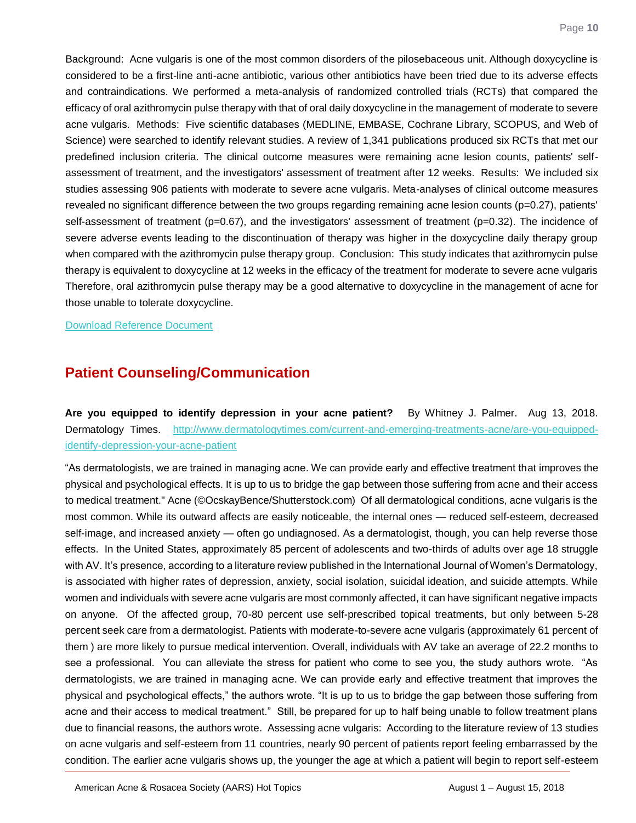Background: Acne vulgaris is one of the most common disorders of the pilosebaceous unit. Although doxycycline is considered to be a first-line anti-acne antibiotic, various other antibiotics have been tried due to its adverse effects and contraindications. We performed a meta-analysis of randomized controlled trials (RCTs) that compared the efficacy of oral azithromycin pulse therapy with that of oral daily doxycycline in the management of moderate to severe acne vulgaris. Methods: Five scientific databases (MEDLINE, EMBASE, Cochrane Library, SCOPUS, and Web of Science) were searched to identify relevant studies. A review of 1,341 publications produced six RCTs that met our predefined inclusion criteria. The clinical outcome measures were remaining acne lesion counts, patients' selfassessment of treatment, and the investigators' assessment of treatment after 12 weeks. Results: We included six studies assessing 906 patients with moderate to severe acne vulgaris. Meta-analyses of clinical outcome measures revealed no significant difference between the two groups regarding remaining acne lesion counts (p=0.27), patients' self-assessment of treatment (p=0.67), and the investigators' assessment of treatment (p=0.32). The incidence of severe adverse events leading to the discontinuation of therapy was higher in the doxycycline daily therapy group when compared with the azithromycin pulse therapy group. Conclusion: This study indicates that azithromycin pulse therapy is equivalent to doxycycline at 12 weeks in the efficacy of the treatment for moderate to severe acne vulgaris Therefore, oral azithromycin pulse therapy may be a good alternative to doxycycline in the management of acne for those unable to tolerate doxycycline.

[Download Reference Document](http://files.constantcontact.com/c2fa20d1101/5b969936-6e07-41b3-9bbb-8101a87a8af2.pdf)

## **Patient Counseling/Communication**

<span id="page-10-0"></span>**Are you equipped to identify depression in your acne patient?** By Whitney J. Palmer. Aug 13, 2018. Dermatology Times. [http://www.dermatologytimes.com/current-and-emerging-treatments-acne/are-you-equipped](http://www.dermatologytimes.com/current-and-emerging-treatments-acne/are-you-equipped-identify-depression-your-acne-patient)[identify-depression-your-acne-patient](http://www.dermatologytimes.com/current-and-emerging-treatments-acne/are-you-equipped-identify-depression-your-acne-patient) 

"As dermatologists, we are trained in managing acne. We can provide early and effective treatment that improves the physical and psychological effects. It is up to us to bridge the gap between those suffering from acne and their access to medical treatment." Acne (©OcskayBence/Shutterstock.com) Of all dermatological conditions, acne vulgaris is the most common. While its outward affects are easily noticeable, the internal ones — reduced self-esteem, decreased self-image, and increased anxiety — often go undiagnosed. As a dermatologist, though, you can help reverse those effects. In the United States, approximately 85 percent of adolescents and two-thirds of adults over age 18 struggle with AV. It's presence, according to a literature review published in the International Journal of Women's Dermatology, is associated with higher rates of depression, anxiety, social isolation, suicidal ideation, and suicide attempts. While women and individuals with severe acne vulgaris are most commonly affected, it can have significant negative impacts on anyone. Of the affected group, 70-80 percent use self-prescribed topical treatments, but only between 5-28 percent seek care from a dermatologist. Patients with moderate-to-severe acne vulgaris (approximately 61 percent of them ) are more likely to pursue medical intervention. Overall, individuals with AV take an average of 22.2 months to see a professional. You can alleviate the stress for patient who come to see you, the study authors wrote. "As dermatologists, we are trained in managing acne. We can provide early and effective treatment that improves the physical and psychological effects," the authors wrote. "It is up to us to bridge the gap between those suffering from acne and their access to medical treatment." Still, be prepared for up to half being unable to follow treatment plans due to financial reasons, the authors wrote. Assessing acne vulgaris: According to the literature review of 13 studies on acne vulgaris and self-esteem from 11 countries, nearly 90 percent of patients report feeling embarrassed by the condition. The earlier acne vulgaris shows up, the younger the age at which a patient will begin to report self-esteem